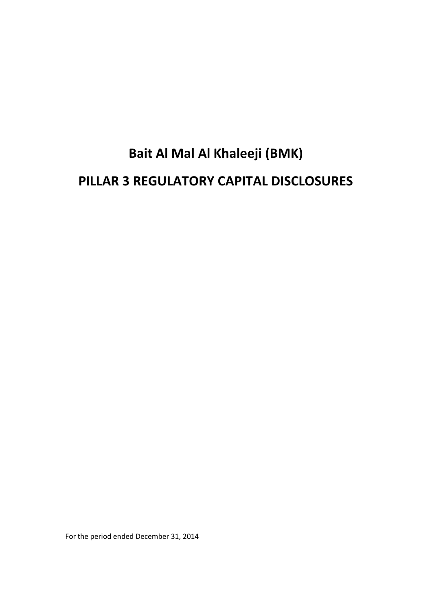# **Bait Al Mal Al Khaleeji (BMK) PILLAR 3 REGULATORY CAPITAL DISCLOSURES**

For the period ended December 31, 2014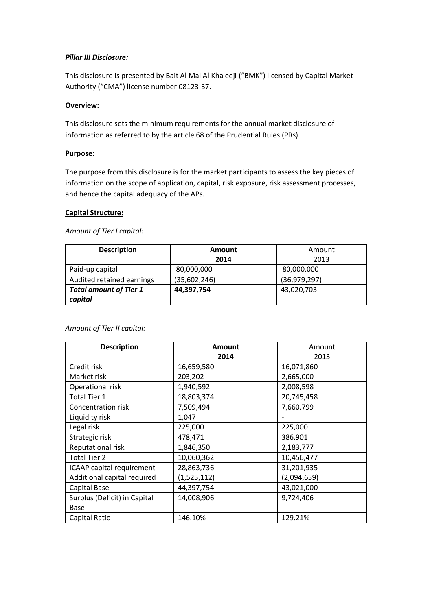# *Pillar III Disclosure:*

This disclosure is presented by Bait Al Mal Al Khaleeji ("BMK") licensed by Capital Market Authority ("CMA") license number 08123-37.

# **Overview:**

This disclosure sets the minimum requirements for the annual market disclosure of information as referred to by the article 68 of the Prudential Rules (PRs).

# **Purpose:**

The purpose from this disclosure is for the market participants to assess the key pieces of information on the scope of application, capital, risk exposure, risk assessment processes, and hence the capital adequacy of the APs.

# **Capital Structure:**

*Amount of Tier I capital:*

| <b>Description</b>                       | Amount       | Amount       |  |  |
|------------------------------------------|--------------|--------------|--|--|
|                                          | 2014         | 2013         |  |  |
| Paid-up capital                          | 80,000,000   | 80,000,000   |  |  |
| Audited retained earnings                | (35,602,246) | (36,979,297) |  |  |
| <b>Total amount of Tier 1</b><br>capital | 44,397,754   | 43,020,703   |  |  |

## *Amount of Tier II capital:*

| <b>Description</b>           | Amount      | Amount      |  |  |
|------------------------------|-------------|-------------|--|--|
|                              | 2014        | 2013        |  |  |
| Credit risk                  | 16,659,580  | 16,071,860  |  |  |
| Market risk                  | 203,202     | 2,665,000   |  |  |
| Operational risk             | 1,940,592   | 2,008,598   |  |  |
| <b>Total Tier 1</b>          | 18,803,374  | 20,745,458  |  |  |
| Concentration risk           | 7,509,494   | 7,660,799   |  |  |
| Liquidity risk               | 1,047       |             |  |  |
| Legal risk                   | 225,000     | 225,000     |  |  |
| Strategic risk               | 478,471     | 386,901     |  |  |
| Reputational risk            | 1,846,350   | 2,183,777   |  |  |
| <b>Total Tier 2</b>          | 10,060,362  | 10,456,477  |  |  |
| ICAAP capital requirement    | 28,863,736  | 31,201,935  |  |  |
| Additional capital required  | (1,525,112) | (2,094,659) |  |  |
| Capital Base                 | 44,397,754  | 43,021,000  |  |  |
| Surplus (Deficit) in Capital | 14,008,906  | 9,724,406   |  |  |
| Base                         |             |             |  |  |
| Capital Ratio                | 146.10%     | 129.21%     |  |  |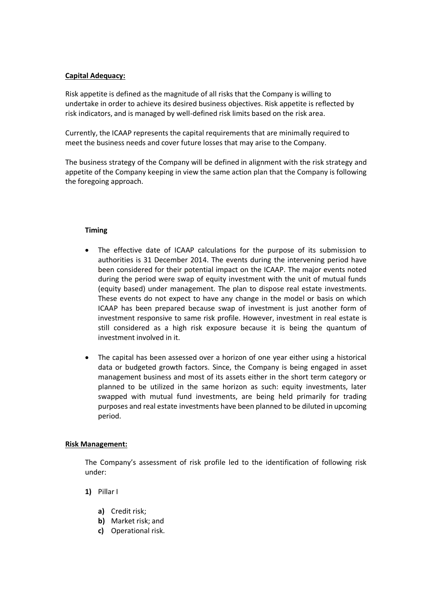## **Capital Adequacy:**

Risk appetite is defined as the magnitude of all risks that the Company is willing to undertake in order to achieve its desired business objectives. Risk appetite is reflected by risk indicators, and is managed by well-defined risk limits based on the risk area.

Currently, the ICAAP represents the capital requirements that are minimally required to meet the business needs and cover future losses that may arise to the Company.

The business strategy of the Company will be defined in alignment with the risk strategy and appetite of the Company keeping in view the same action plan that the Company is following the foregoing approach.

## **Timing**

- The effective date of ICAAP calculations for the purpose of its submission to authorities is 31 December 2014. The events during the intervening period have been considered for their potential impact on the ICAAP. The major events noted during the period were swap of equity investment with the unit of mutual funds (equity based) under management. The plan to dispose real estate investments. These events do not expect to have any change in the model or basis on which ICAAP has been prepared because swap of investment is just another form of investment responsive to same risk profile. However, investment in real estate is still considered as a high risk exposure because it is being the quantum of investment involved in it.
- The capital has been assessed over a horizon of one year either using a historical data or budgeted growth factors. Since, the Company is being engaged in asset management business and most of its assets either in the short term category or planned to be utilized in the same horizon as such: equity investments, later swapped with mutual fund investments, are being held primarily for trading purposes and real estate investments have been planned to be diluted in upcoming period.

## **Risk Management:**

The Company's assessment of risk profile led to the identification of following risk under:

- **1)** Pillar I
	- **a)** Credit risk;
	- **b)** Market risk; and
	- **c)** Operational risk.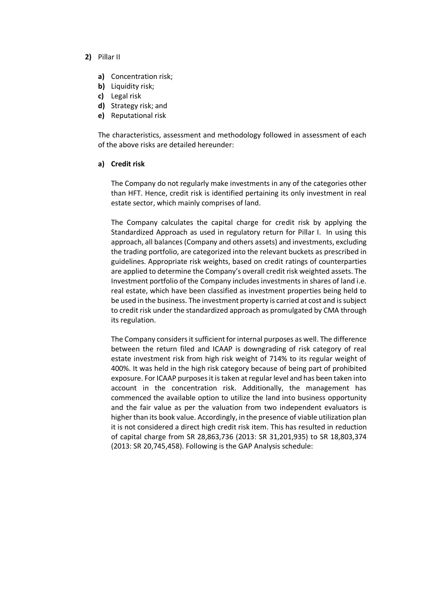#### **2)** Pillar II

- **a)** Concentration risk;
- **b)** Liquidity risk;
- **c)** Legal risk
- **d)** Strategy risk; and
- **e)** Reputational risk

The characteristics, assessment and methodology followed in assessment of each of the above risks are detailed hereunder:

## **a) Credit risk**

The Company do not regularly make investments in any of the categories other than HFT. Hence, credit risk is identified pertaining its only investment in real estate sector, which mainly comprises of land.

The Company calculates the capital charge for credit risk by applying the Standardized Approach as used in regulatory return for Pillar I. In using this approach, all balances (Company and others assets) and investments, excluding the trading portfolio, are categorized into the relevant buckets as prescribed in guidelines. Appropriate risk weights, based on credit ratings of counterparties are applied to determine the Company's overall credit risk weighted assets. The Investment portfolio of the Company includes investments in shares of land i.e. real estate, which have been classified as investment properties being held to be used in the business. The investment property is carried at cost and is subject to credit risk under the standardized approach as promulgated by CMA through its regulation.

The Company considers it sufficient for internal purposes as well. The difference between the return filed and ICAAP is downgrading of risk category of real estate investment risk from high risk weight of 714% to its regular weight of 400%. It was held in the high risk category because of being part of prohibited exposure. For ICAAP purposes it is taken at regular level and has been taken into account in the concentration risk. Additionally, the management has commenced the available option to utilize the land into business opportunity and the fair value as per the valuation from two independent evaluators is higher than its book value. Accordingly, in the presence of viable utilization plan it is not considered a direct high credit risk item. This has resulted in reduction of capital charge from SR 28,863,736 (2013: SR 31,201,935) to SR 18,803,374 (2013: SR 20,745,458). Following is the GAP Analysis schedule: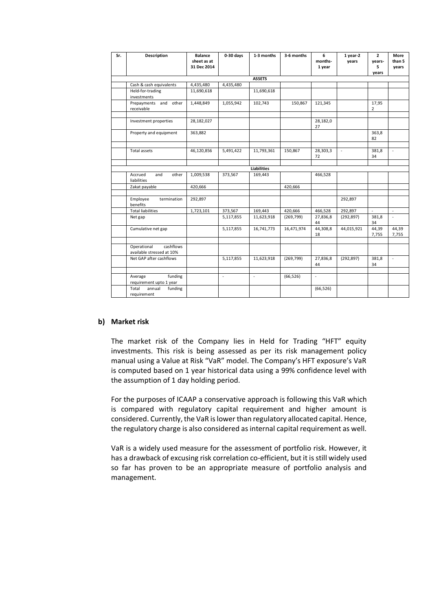| Sr. | <b>Description</b>                                    | <b>Balance</b><br>sheet as at<br>31 Dec 2014 | $0-30$ days         | 1-3 months         | 3-6 months | 6<br>months-<br>1 year | 1 year-2<br>years | $\mathbf{2}$<br>years-<br>5<br>years | More<br>than 5<br>years  |
|-----|-------------------------------------------------------|----------------------------------------------|---------------------|--------------------|------------|------------------------|-------------------|--------------------------------------|--------------------------|
|     |                                                       |                                              |                     | <b>ASSETS</b>      |            |                        |                   |                                      |                          |
|     | Cash & cash equivalents                               | 4,435,480                                    | 4,435,480           |                    |            |                        |                   |                                      |                          |
|     | Held-for-trading<br>investments                       | 11,690,618                                   |                     | 11,690,618         |            |                        |                   |                                      |                          |
|     | Prepayments and other<br>receivable                   | 1,448,849                                    | 1,055,942           | 102,743            | 150,867    | 121,345                |                   | 17,95<br>$\overline{2}$              |                          |
|     | Investment properties                                 | 28,182,027                                   |                     |                    |            | 28,182,0<br>27         |                   |                                      |                          |
|     | Property and equipment                                | 363,882                                      |                     |                    |            |                        |                   | 363,8<br>82                          |                          |
|     | Total assets                                          | 46,120,856                                   | 5,491,422           | 11,793,361         | 150,867    | 28,303,3<br>72         | $\bar{a}$         | 381,8<br>34                          | $\bar{a}$                |
|     |                                                       |                                              |                     |                    |            |                        |                   |                                      |                          |
|     | Accrued<br>and<br>other                               |                                              |                     | <b>Liabilities</b> |            |                        |                   |                                      |                          |
|     | liabilities                                           | 1,009,538                                    | 373,567             | 169,443            |            | 466,528                |                   |                                      |                          |
|     | Zakat payable                                         | 420,666                                      |                     |                    | 420,666    |                        |                   |                                      |                          |
|     | Employee<br>termination<br>benefits                   | 292,897                                      |                     |                    |            |                        | 292,897           |                                      |                          |
|     | <b>Total liabilities</b>                              | 1,723,101                                    | 373,567             | 169,443            | 420,666    | 466,528                | 292,897           | ä,                                   | $\blacksquare$           |
|     | Net gap                                               |                                              | 5,117,855           | 11,623,918         | (269, 799) | 27,836,8<br>44         | (292, 897)        | 381,8<br>34                          | $\overline{\phantom{a}}$ |
|     | Cumulative net gap                                    |                                              | 5,117,855           | 16,741,773         | 16,471,974 | 44,308,8<br>18         | 44,015,921        | 44,39<br>7,755                       | 44,39<br>7,755           |
|     | Operational<br>cashflows<br>available stressed at 10% |                                              |                     |                    |            |                        |                   |                                      |                          |
|     | Net GAP after cashflows                               |                                              | 5,117,855           | 11,623,918         | (269, 799) | 27,836,8<br>44         | (292, 897)        | 381,8<br>34                          | $\overline{a}$           |
|     | funding<br>Average<br>requirement upto 1 year         |                                              | $\bar{\phantom{a}}$ | $\omega$           | (66, 526)  | $\omega$               |                   |                                      |                          |
|     | Total<br>annual<br>funding<br>requirement             |                                              |                     |                    |            | (66, 526)              |                   |                                      |                          |

## **b) Market risk**

The market risk of the Company lies in Held for Trading "HFT" equity investments. This risk is being assessed as per its risk management policy manual using a Value at Risk "VaR" model. The Company's HFT exposure's VaR is computed based on 1 year historical data using a 99% confidence level with the assumption of 1 day holding period.

For the purposes of ICAAP a conservative approach is following this VaR which is compared with regulatory capital requirement and higher amount is considered. Currently, the VaR is lower than regulatory allocated capital. Hence, the regulatory charge is also considered as internal capital requirement as well.

VaR is a widely used measure for the assessment of portfolio risk. However, it has a drawback of excusing risk correlation co-efficient, but it is still widely used so far has proven to be an appropriate measure of portfolio analysis and management.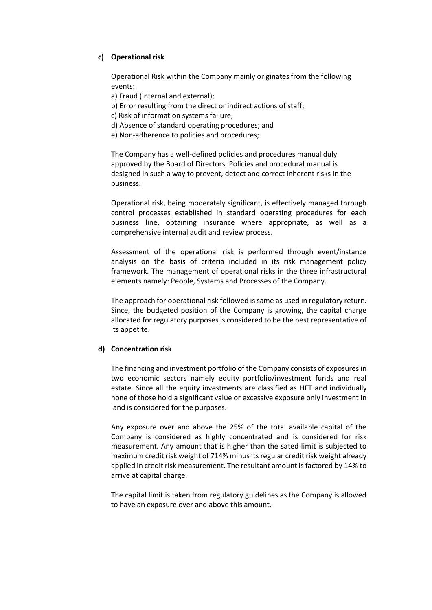# **c) Operational risk**

Operational Risk within the Company mainly originates from the following events:

a) Fraud (internal and external);

- b) Error resulting from the direct or indirect actions of staff;
- c) Risk of information systems failure;
- d) Absence of standard operating procedures; and
- e) Non-adherence to policies and procedures;

The Company has a well-defined policies and procedures manual duly approved by the Board of Directors. Policies and procedural manual is designed in such a way to prevent, detect and correct inherent risks in the business.

Operational risk, being moderately significant, is effectively managed through control processes established in standard operating procedures for each business line, obtaining insurance where appropriate, as well as a comprehensive internal audit and review process.

Assessment of the operational risk is performed through event/instance analysis on the basis of criteria included in its risk management policy framework. The management of operational risks in the three infrastructural elements namely: People, Systems and Processes of the Company.

The approach for operational risk followed is same as used in regulatory return. Since, the budgeted position of the Company is growing, the capital charge allocated for regulatory purposes is considered to be the best representative of its appetite.

## **d) Concentration risk**

The financing and investment portfolio of the Company consists of exposures in two economic sectors namely equity portfolio/investment funds and real estate. Since all the equity investments are classified as HFT and individually none of those hold a significant value or excessive exposure only investment in land is considered for the purposes.

Any exposure over and above the 25% of the total available capital of the Company is considered as highly concentrated and is considered for risk measurement. Any amount that is higher than the sated limit is subjected to maximum credit risk weight of 714% minus its regular credit risk weight already applied in credit risk measurement. The resultant amount is factored by 14% to arrive at capital charge.

The capital limit is taken from regulatory guidelines as the Company is allowed to have an exposure over and above this amount.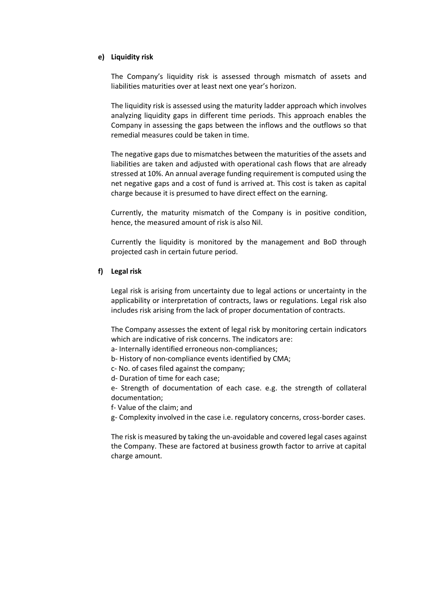#### **e) Liquidity risk**

The Company's liquidity risk is assessed through mismatch of assets and liabilities maturities over at least next one year's horizon.

The liquidity risk is assessed using the maturity ladder approach which involves analyzing liquidity gaps in different time periods. This approach enables the Company in assessing the gaps between the inflows and the outflows so that remedial measures could be taken in time.

The negative gaps due to mismatches between the maturities of the assets and liabilities are taken and adjusted with operational cash flows that are already stressed at 10%. An annual average funding requirement is computed using the net negative gaps and a cost of fund is arrived at. This cost is taken as capital charge because it is presumed to have direct effect on the earning.

Currently, the maturity mismatch of the Company is in positive condition, hence, the measured amount of risk is also Nil.

Currently the liquidity is monitored by the management and BoD through projected cash in certain future period.

## **f) Legal risk**

Legal risk is arising from uncertainty due to legal actions or uncertainty in the applicability or interpretation of contracts, laws or regulations. Legal risk also includes risk arising from the lack of proper documentation of contracts.

The Company assesses the extent of legal risk by monitoring certain indicators which are indicative of risk concerns. The indicators are:

a- Internally identified erroneous non-compliances;

- b- History of non-compliance events identified by CMA;
- c- No. of cases filed against the company;
- d- Duration of time for each case;

e- Strength of documentation of each case. e.g. the strength of collateral documentation;

f- Value of the claim; and

g- Complexity involved in the case i.e. regulatory concerns, cross-border cases.

The risk is measured by taking the un-avoidable and covered legal cases against the Company. These are factored at business growth factor to arrive at capital charge amount.